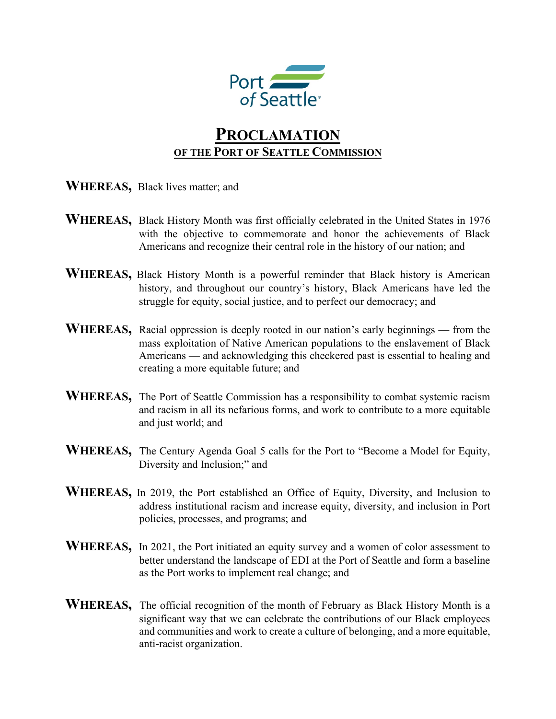

## **PROCLAMATION OF THE PORT OF SEATTLE COMMISSION**

- **WHEREAS,** Black lives matter; and
- **WHEREAS,** Black History Month was first officially celebrated in the United States in 1976 with the objective to commemorate and honor the achievements of Black Americans and recognize their central role in the history of our nation; and
- **WHEREAS,** Black History Month is a powerful reminder that Black history is American history, and throughout our country's history, Black Americans have led the struggle for equity, social justice, and to perfect our democracy; and
- **WHEREAS,** Racial oppression is deeply rooted in our nation's early beginnings from the mass exploitation of Native American populations to the enslavement of Black Americans — and acknowledging this checkered past is essential to healing and creating a more equitable future; and
- WHEREAS, The Port of Seattle Commission has a responsibility to combat systemic racism and racism in all its nefarious forms, and work to contribute to a more equitable and just world; and
- **WHEREAS,** The Century Agenda Goal 5 calls for the Port to "Become a Model for Equity, Diversity and Inclusion;" and
- **WHEREAS,** In 2019, the Port established an Office of Equity, Diversity, and Inclusion to address institutional racism and increase equity, diversity, and inclusion in Port policies, processes, and programs; and
- WHEREAS, In 2021, the Port initiated an equity survey and a women of color assessment to better understand the landscape of EDI at the Port of Seattle and form a baseline as the Port works to implement real change; and
- **WHEREAS,** The official recognition of the month of February as Black History Month is a significant way that we can celebrate the contributions of our Black employees and communities and work to create a culture of belonging, and a more equitable, anti-racist organization.